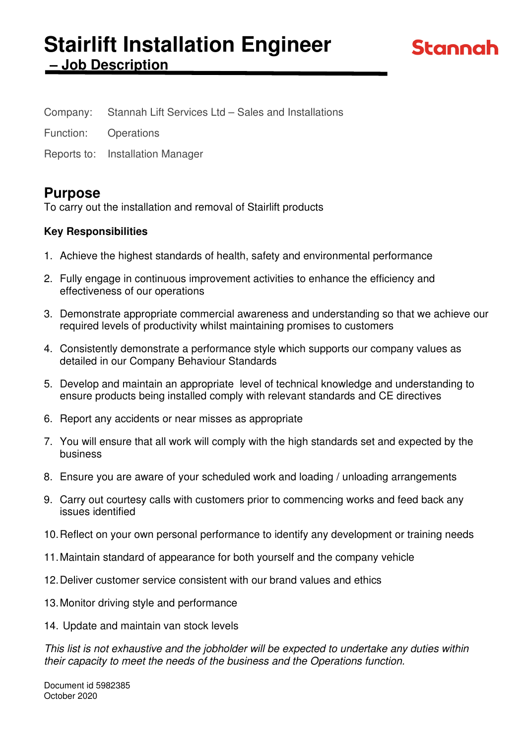# **Stairlift Installation Engineer – Job Description**

Company: Stannah Lift Services Ltd – Sales and Installations

Function: Operations

Reports to: Installation Manager

# **Purpose**

To carry out the installation and removal of Stairlift products

### **Key Responsibilities**

- 1. Achieve the highest standards of health, safety and environmental performance
- 2. Fully engage in continuous improvement activities to enhance the efficiency and effectiveness of our operations
- 3. Demonstrate appropriate commercial awareness and understanding so that we achieve our required levels of productivity whilst maintaining promises to customers
- 4. Consistently demonstrate a performance style which supports our company values as detailed in our Company Behaviour Standards
- 5. Develop and maintain an appropriate level of technical knowledge and understanding to ensure products being installed comply with relevant standards and CE directives
- 6. Report any accidents or near misses as appropriate
- 7. You will ensure that all work will comply with the high standards set and expected by the business
- 8. Ensure you are aware of your scheduled work and loading / unloading arrangements
- 9. Carry out courtesy calls with customers prior to commencing works and feed back any issues identified
- 10. Reflect on your own personal performance to identify any development or training needs
- 11. Maintain standard of appearance for both yourself and the company vehicle
- 12. Deliver customer service consistent with our brand values and ethics
- 13. Monitor driving style and performance
- 14. Update and maintain van stock levels

This list is not exhaustive and the jobholder will be expected to undertake any duties within their capacity to meet the needs of the business and the Operations function.